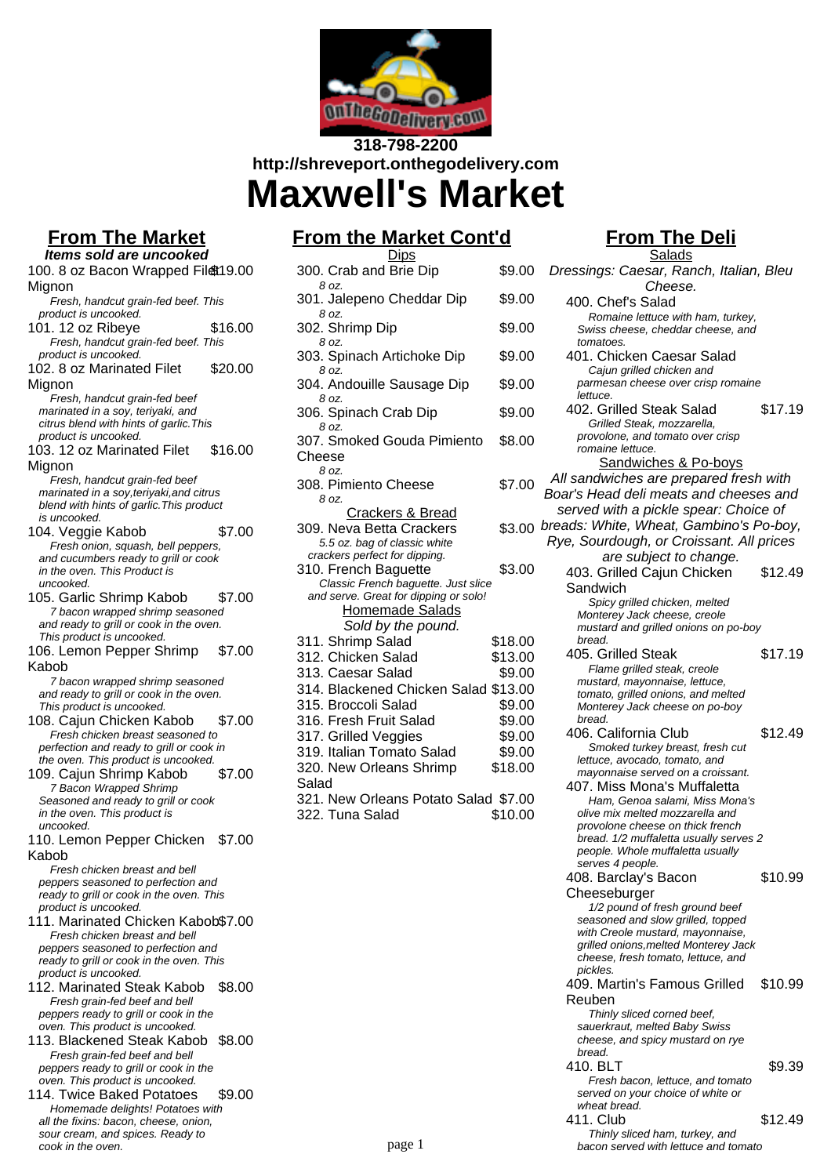

## **318-798-2200 http://shreveport.onthegodelivery.com Maxwell's Market**

## **From The Market**

**Items sold are uncooked** 100. 8 oz Bacon Wrapped Fil& 19.00 Mignon Fresh, handcut grain-fed beef. This product is uncooked. 101. 12 oz Ribeye \$16.00 Fresh, handcut grain-fed beef. This product is uncooked.

102. 8 oz Marinated Filet **Mignon** \$20.00

Fresh, handcut grain-fed beef marinated in a soy, teriyaki, and citrus blend with hints of garlic.This product is uncooked.

103. 12 oz Marinated Filet Mignon \$16.00

Fresh, handcut grain-fed beef marinated in a soy,teriyaki,and citrus blend with hints of garlic.This product is uncooked.

- 104. Veggie Kabob \$7.00 Fresh onion, squash, bell peppers, and cucumbers ready to grill or cook in the oven. This Product is uncooked.
- 105. Garlic Shrimp Kabob \$7.00 7 bacon wrapped shrimp seasoned and ready to grill or cook in the oven. This product is uncooked.
- 106. Lemon Pepper Shrimp Kabob \$7.00
- 7 bacon wrapped shrimp seasoned and ready to grill or cook in the oven. This product is uncooked.
- 108. Cajun Chicken Kabob \$7.00 Fresh chicken breast seasoned to perfection and ready to grill or cook in .<br>the oven. This product is uncooked. 109. Cajun Shrimp Kabob \$7.00
- 7 Bacon Wrapped Shrimp Seasoned and ready to grill or cook in the oven. This product is uncooked.
- 110. Lemon Pepper Chicken \$7.00 Kabob

Fresh chicken breast and bell peppers seasoned to perfection and ready to grill or cook in the oven. This product is uncooked.

- 111. Marinated Chicken Kabob\$7.00 Fresh chicken breast and bell peppers seasoned to perfection and ready to grill or cook in the oven. This product is uncooked.
- 112. Marinated Steak Kabob \$8.00 Fresh grain-fed beef and bell peppers ready to grill or cook in the oven. This product is uncooked.
- 113. Blackened Steak Kabob \$8.00 Fresh grain-fed beef and bell peppers ready to grill or cook in the oven. This product is uncooked.
- 114. Twice Baked Potatoes \$9.00 Homemade delights! Potatoes with all the fixins: bacon, cheese, onion, sour cream, and spices. Ready to cook in the oven.

# **From the Market Cont'd**

| <u>Dips</u>                                                                                                                                              |                              |
|----------------------------------------------------------------------------------------------------------------------------------------------------------|------------------------------|
| 300. Crab and Brie Dip                                                                                                                                   | \$9.00                       |
| 8 oz.<br>301. Jalepeno Cheddar Dip<br>8 oz.                                                                                                              | \$9.00                       |
| 302. Shrimp Dip                                                                                                                                          | \$9.00                       |
| 8 oz.<br>303. Spinach Artichoke Dip<br>8 oz.                                                                                                             | \$9.00                       |
| 304. Andouille Sausage Dip<br>8 oz.                                                                                                                      | \$9.00                       |
| 306. Spinach Crab Dip<br>8 oz.                                                                                                                           | \$9.00                       |
| 307. Smoked Gouda Pimiento<br>Cheese                                                                                                                     | \$8.00                       |
| 8 oz.<br>308. Pimiento Cheese                                                                                                                            | \$7.00                       |
| 8 oz.<br><b>Crackers &amp; Bread</b><br>309. Neva Betta Crackers<br>5.5 oz. bag of classic white                                                         | \$3.00                       |
| crackers perfect for dipping.<br>310. French Baguette<br>Classic French baguette. Just slice<br>and serve. Great for dipping or solo!<br>Homemade Salads | \$3.00                       |
| Sold by the pound.<br>311. Shrimp Salad<br>312. Chicken Salad<br>313. Caesar Salad                                                                       | \$18.00<br>\$13.00<br>\$9.00 |
| 314. Blackened Chicken Salad \$13.00<br>315. Broccoli Salad                                                                                              | \$9.00                       |
| 316. Fresh Fruit Salad<br>317. Grilled Veggies<br>319. Italian Tomato Salad                                                                              | \$9.00<br>\$9.00<br>\$9.00   |
| 320. New Orleans Shrimp<br>Salad                                                                                                                         | \$18.00                      |
| 321. New Orleans Potato Salad \$7.00<br>322. Tuna Salad                                                                                                  | \$10.00                      |

## **From The Deli**

| Salads                                                                     |         |
|----------------------------------------------------------------------------|---------|
| Dressings: Caesar, Ranch, Italian, Bleu                                    |         |
| Cheese.                                                                    |         |
| 400. Chef's Salad                                                          |         |
| Romaine lettuce with ham, turkey,                                          |         |
| Swiss cheese, cheddar cheese, and                                          |         |
| tomatoes.                                                                  |         |
| 401. Chicken Caesar Salad                                                  |         |
| Cajun grilled chicken and<br>parmesan cheese over crisp romaine            |         |
| lettuce.                                                                   |         |
| 402. Grilled Steak Salad                                                   | \$17.19 |
| Grilled Steak, mozzarella,                                                 |         |
| provolone, and tomato over crisp                                           |         |
| romaine lettuce.                                                           |         |
| Sandwiches & Po-boys                                                       |         |
| All sandwiches are prepared fresh with                                     |         |
| Boar's Head deli meats and cheeses and                                     |         |
| served with a pickle spear: Choice of                                      |         |
|                                                                            |         |
| breads: White, Wheat, Gambino's Po-boy,                                    |         |
| Rye, Sourdough, or Croissant. All prices                                   |         |
| are subject to change.                                                     |         |
| 403. Grilled Cajun Chicken                                                 | \$12.49 |
| Sandwich                                                                   |         |
| Spicy grilled chicken, melted                                              |         |
| Monterey Jack cheese, creole                                               |         |
| mustard and grilled onions on po-boy<br>bread.                             |         |
| 405. Grilled Steak                                                         | \$17.19 |
|                                                                            |         |
| Flame grilled steak, creole<br>mustard, mayonnaise, lettuce,               |         |
| tomato, grilled onions, and melted                                         |         |
| Monterey Jack cheese on po-boy                                             |         |
| bread.                                                                     |         |
| 406. California Club                                                       | \$12.49 |
| Smoked turkey breast, fresh cut                                            |         |
| lettuce, avocado, tomato, and                                              |         |
| mayonnaise served on a croissant.                                          |         |
| 407. Miss Mona's Muffaletta                                                |         |
| Ham, Genoa salami, Miss Mona's<br>olive mix melted mozzarella and          |         |
| provolone cheese on thick french                                           |         |
| bread. 1/2 muffaletta usually serves 2                                     |         |
| people. Whole muffaletta usually                                           |         |
| serves 4 people.                                                           |         |
| 408. Barclay's Bacon                                                       | \$10.99 |
| Cheeseburger                                                               |         |
| 1/2 pound of fresh ground beef                                             |         |
| seasoned and slow grilled, topped                                          |         |
| with Creole mustard, mayonnaise,                                           |         |
| grilled onions, melted Monterey Jack<br>cheese, fresh tomato, lettuce, and |         |
| pickles.                                                                   |         |
| 409. Martin's Famous Grilled                                               | \$10.99 |
| Reuben                                                                     |         |
| Thinly sliced corned beef,                                                 |         |
| sauerkraut, melted Baby Swiss                                              |         |
| cheese, and spicy mustard on rye                                           |         |
| bread.                                                                     |         |
| 410. BLT                                                                   | \$9.39  |
| Fresh bacon, lettuce, and tomato                                           |         |
| served on your choice of white or                                          |         |
| wheat bread.                                                               |         |
| 411. Club                                                                  | \$12.49 |
| Thinly sliced ham, turkey, and                                             |         |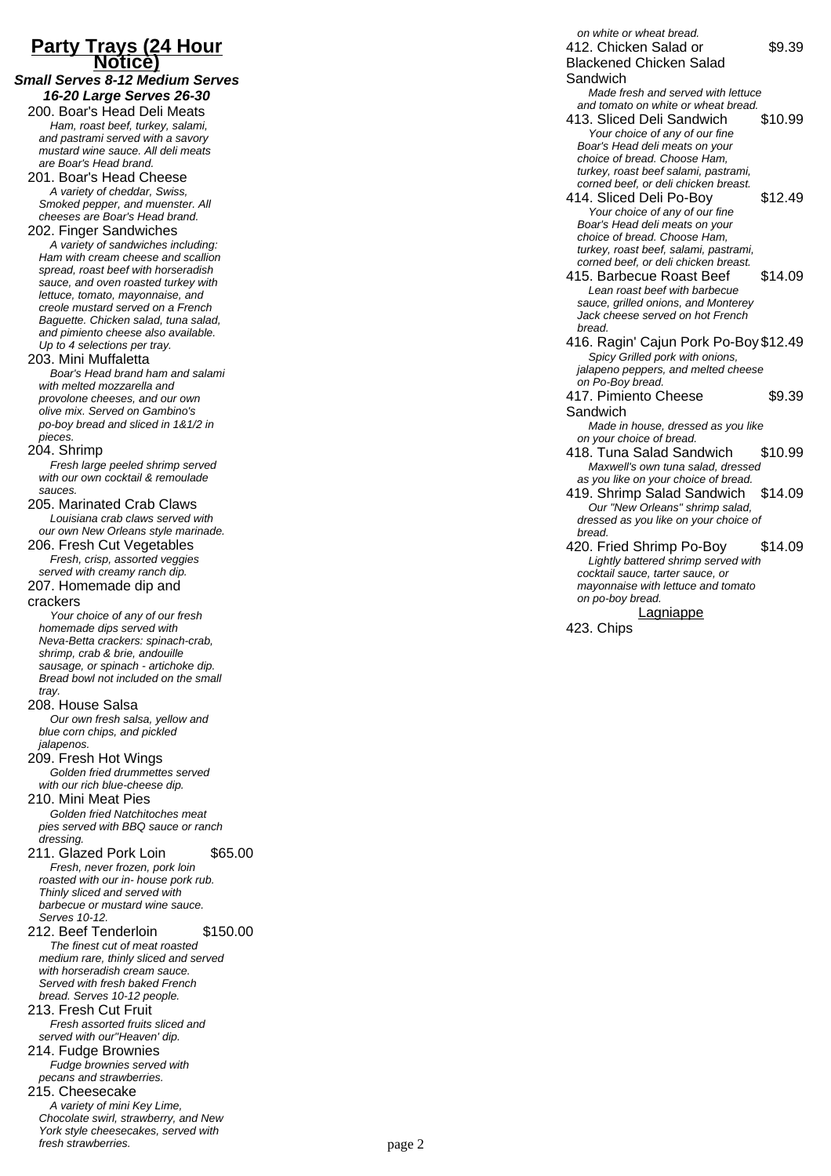### **Party Trays (24 Hour Notice)**

**Small Serves 8-12 Medium Serves 16-20 Large Serves 26-30**

200. Boar's Head Deli Meats Ham, roast beef, turkey, salami, and pastrami served with a savory mustard wine sauce. All deli meats are Boar's Head brand.

201. Boar's Head Cheese A variety of cheddar, Swiss, Smoked pepper, and muenster. All cheeses are Boar's Head brand.

202. Finger Sandwiches A variety of sandwiches including: Ham with cream cheese and scallion spread, roast beef with horseradish sauce, and oven roasted turkey with lettuce, tomato, mayonnaise, and creole mustard served on a French Baguette. Chicken salad, tuna salad, and pimiento cheese also available. Up to 4 selections per tray.

### 203. Mini Muffaletta

Boar's Head brand ham and salami with melted mozzarella and provolone cheeses, and our own olive mix. Served on Gambino's po-boy bread and sliced in 1&1/2 in pieces.

204. Shrimp

Fresh large peeled shrimp served with our own cocktail & remoulade sauces.

205. Marinated Crab Claws Louisiana crab claws served with our own New Orleans style marinade.

206. Fresh Cut Vegetables Fresh, crisp, assorted veggies served with creamy ranch dip.

#### 207. Homemade dip and crackers

Your choice of any of our fresh homemade dips served with Neva-Betta crackers: spinach-crab, shrimp, crab & brie, andouille sausage, or spinach - artichoke dip. Bread bowl not included on the small tray

208. House Salsa

Our own fresh salsa, yellow and blue corn chips, and pickled jalapenos.

209. Fresh Hot Wings Golden fried drummettes served with our rich blue-cheese dip.

210. Mini Meat Pies Golden fried Natchitoches meat pies served with BBQ sauce or ranch dressing.

211. Glazed Pork Loin \$65.00 Fresh, never frozen, pork loin roasted with our in- house pork rub. Thinly sliced and served with barbecue or mustard wine sauce. Serves 10-12.

212. Beef Tenderloin \$150.00 The finest cut of meat roasted medium rare, thinly sliced and served with horseradish cream sauce. Served with fresh baked French bread. Serves 10-12 people.

213. Fresh Cut Fruit Fresh assorted fruits sliced and served with our"Heaven' dip.

214. Fudge Brownies Fudge brownies served with pecans and strawberries.

215. Cheesecake A variety of mini Key Lime, Chocolate swirl, strawberry, and New York style cheesecakes, served with fresh strawberries.

on white or wheat bread. 412. Chicken Salad or Blackened Chicken Salad Sandwich \$9.39 Made fresh and served with lettuce

- and tomato on white or wheat bread. 413. Sliced Deli Sandwich \$10.99 Your choice of any of our fine Boar's Head deli meats on your choice of bread. Choose Ham, turkey, roast beef salami, pastrami, corned beef, or deli chicken breast.
- 414. Sliced Deli Po-Boy \$12.49 Your choice of any of our fine Boar's Head deli meats on your choice of bread. Choose Ham, turkey, roast beef, salami, pastrami, corned beef, or deli chicken breast.
- 415. Barbecue Roast Beef \$14.09 Lean roast beef with barbecue sauce, grilled onions, and Monterey Jack cheese served on hot French bread.
- 416. Ragin' Cajun Pork Po-Boy \$12.49 Spicy Grilled pork with onions, jalapeno peppers, and melted cheese on Po-Boy bread.
- 417. Pimiento Cheese Sandwich \$9.39

Made in house, dressed as you like on your choice of bread.

- 418. Tuna Salad Sandwich \$10.99 Maxwell's own tuna salad, dressed as you like on your choice of bread.
- 419. Shrimp Salad Sandwich \$14.09 Our "New Orleans" shrimp salad, dressed as you like on your choice of bread.
- 420. Fried Shrimp Po-Boy \$14.09 Lightly battered shrimp served with cocktail sauce, tarter sauce, or mayonnaise with lettuce and tomato on po-boy bread.

**Lagniappe** 

423. Chips